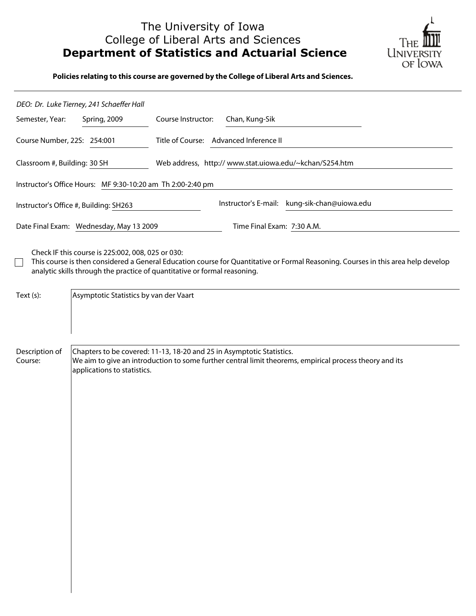# The University of Iowa College of Liberal Arts and Sciences **Department of Statistics and Actuarial Science**



**Policies relating to this course are governed by the College of Liberal Arts and Sciences.**

|                                         | DEO: Dr. Luke Tierney, 241 Schaeffer Hall                   |                                                                                                                                                                                                                |  |  |
|-----------------------------------------|-------------------------------------------------------------|----------------------------------------------------------------------------------------------------------------------------------------------------------------------------------------------------------------|--|--|
| Semester, Year:                         | Spring, 2009                                                | Course Instructor:<br>Chan, Kung-Sik                                                                                                                                                                           |  |  |
| Course Number, 22S: 254:001             |                                                             | Title of Course: Advanced Inference II                                                                                                                                                                         |  |  |
| Classroom #, Building: 30 SH            |                                                             | Web address, http://www.stat.uiowa.edu/~kchan/S254.htm                                                                                                                                                         |  |  |
|                                         | Instructor's Office Hours: MF 9:30-10:20 am Th 2:00-2:40 pm |                                                                                                                                                                                                                |  |  |
|                                         | Instructor's Office #, Building: SH263                      | Instructor's E-mail: kung-sik-chan@uiowa.edu                                                                                                                                                                   |  |  |
| Date Final Exam: Wednesday, May 13 2009 |                                                             | Time Final Exam: 7:30 A.M.                                                                                                                                                                                     |  |  |
|                                         | Check IF this course is 22S:002, 008, 025 or 030:           | This course is then considered a General Education course for Quantitative or Formal Reasoning. Courses in this area help develop<br>analytic skills through the practice of quantitative or formal reasoning. |  |  |
| Text (s):                               | Asymptotic Statistics by van der Vaart                      |                                                                                                                                                                                                                |  |  |
| Description of<br>Course:               | applications to statistics.                                 | Chapters to be covered: 11-13, 18-20 and 25 in Asymptotic Statistics.<br>We aim to give an introduction to some further central limit theorems, empirical process theory and its                               |  |  |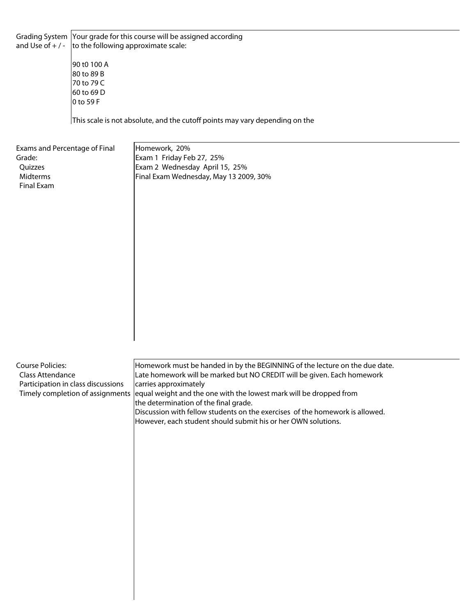Grading System Your grade for this course will be assigned according and Use of  $+/-$  to the following approximate scale:

> 90 t0 100 A 80 to 89 B 70 to 79 C 60 to 69 D  $|0 \text{ to } 59 \text{ F}|$

This scale is not absolute, and the cutoff points may vary depending on the

Exams and Percentage of Final Grade: **Ouizzes**  Midterms Final Exam

Homework, 20% Exam 1 Friday Feb 27, 25% Exam 2 Wednesday April 15, 25% Final Exam Wednesday, May 13 2009, 30%

Course Policies: Class Attendance Participation in class discussions Timely completion of assignments Homework must be handed in by the BEGINNING of the lecture on the due date. Late homework will be marked but NO CREDIT will be given. Each homework carries approximately equal weight and the one with the lowest mark will be dropped from the determination of the final grade. Discussion with fellow students on the exercises of the homework is allowed. However, each student should submit his or her OWN solutions.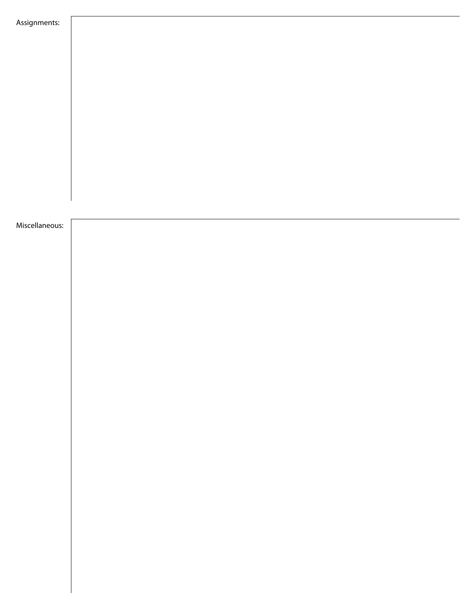| Assignments:   |  |  |
|----------------|--|--|
|                |  |  |
|                |  |  |
|                |  |  |
|                |  |  |
|                |  |  |
|                |  |  |
|                |  |  |
|                |  |  |
|                |  |  |
|                |  |  |
|                |  |  |
|                |  |  |
|                |  |  |
|                |  |  |
|                |  |  |
|                |  |  |
|                |  |  |
| Miscellaneous: |  |  |
|                |  |  |
|                |  |  |
|                |  |  |
|                |  |  |
|                |  |  |
|                |  |  |
|                |  |  |
|                |  |  |
|                |  |  |
|                |  |  |
|                |  |  |
|                |  |  |
|                |  |  |
|                |  |  |
|                |  |  |
|                |  |  |
|                |  |  |
|                |  |  |
|                |  |  |
|                |  |  |
|                |  |  |
|                |  |  |
|                |  |  |
|                |  |  |
|                |  |  |
|                |  |  |
|                |  |  |
|                |  |  |
|                |  |  |
|                |  |  |
|                |  |  |
|                |  |  |
|                |  |  |